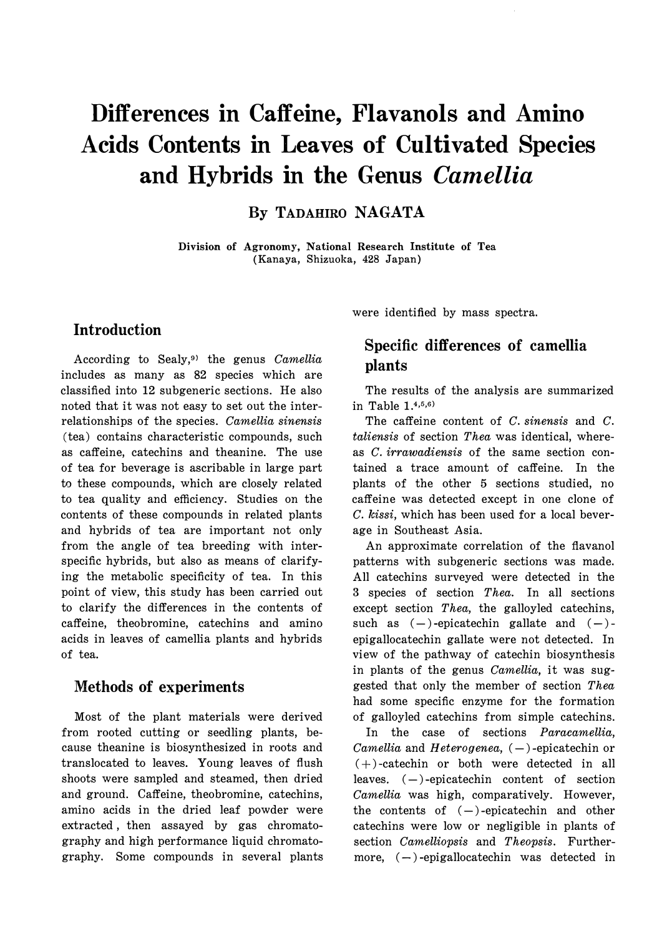# **Differences in Caffeine, Flavanols and Amino Acids Contents in Leaves of Cultivated Species and Hybrids in the Genus** *Camellia*

**By TADAHIRO NAGATA** 

**Division of Agronomy, National Research Institute of Tea (Kanaya, Shizuoka, 428 Japan)** 

## **Introduction**

According to Sealy,<sup>9</sup> > the genus *Camellia*  includes as many as 82 species which are classified into 12 subgeneric sections. He also noted that it was not easy to set out the interrelationships of the species. *Camellia sinensis*  (tea) contains characteristic compounds, such as caffeine, catechins and theanine. The use of tea for beverage is ascribable in large part to these compounds, which are closely related to tea quality and efficiency. Studies on the contents of these compounds in related plants and hybrids of tea are important not only from the angle of tea breeding with interspecific hybrids, but also as means of clarifying the metabolic specificity of tea. In this point of view, this study has been carried out to clarify the differences in the contents of caffeine, theobromine, catechins and amino acids in leaves of camellia plants and hybrids of tea.

## **Methods of experiments**

Most of the plant materials were derived from rooted cutting or seedling plants, because theanine is biosynthesized in roots and translocated to leaves. Young leaves of flush shoots were sampled and steamed, then dried and ground. Caffeine, theobromine, catechins, amino acids in the dried leaf powder were extracted , then assayed by gas chromatography and high performance liquid chromatography. Some compounds in several plants were identified by mass spectra.

# **Specific differences of camellia plants**

The results of the analysis are summarized in Table  $1.4, 5, 6$ 

The caffeine content of *C. sinensis* and *C. taliensis* of section *Thea* was identical, whereas *C. irrawadiensis* of the same section contained a trace amount of caffeine. In the plants of the other 5 sections studied, no caffeine was detected except in one clone of *C. kissi,* which has been used for a local beverage in Southeast Asia.

An approximate correlation of the flavanol patterns with subgeneric sections was made. All catechins surveyed were detected in the 3 species of section *Thea.* In all sections except section *Thea,* the galloyled catechins, such as  $(-)$ -epicatechin gallate and  $(-)$ epigallocatechin gallate were not detected. In view of the pathway of catechin biosynthesis in plants of the genus *Camellia,* it was suggested that only the member of section *Thea*  had some specific enzyme for the formation of galloyled catechins from simple catechins.

In the case of sections *Paracamellia, Camellia* and *Heterogenea*,  $(-)$ -epicatechin or  $(+)$ -catechin or both were detected in all leaves.  $(-)$ -epicatechin content of section *Camellia* was high, comparatively. However, the contents of  $(-)$ -epicatechin and other catechins were low or negligible in plants of section *Camelliopsis* and *Theopsis.* Furthermore,  $(-)$ -epigallocatechin was detected in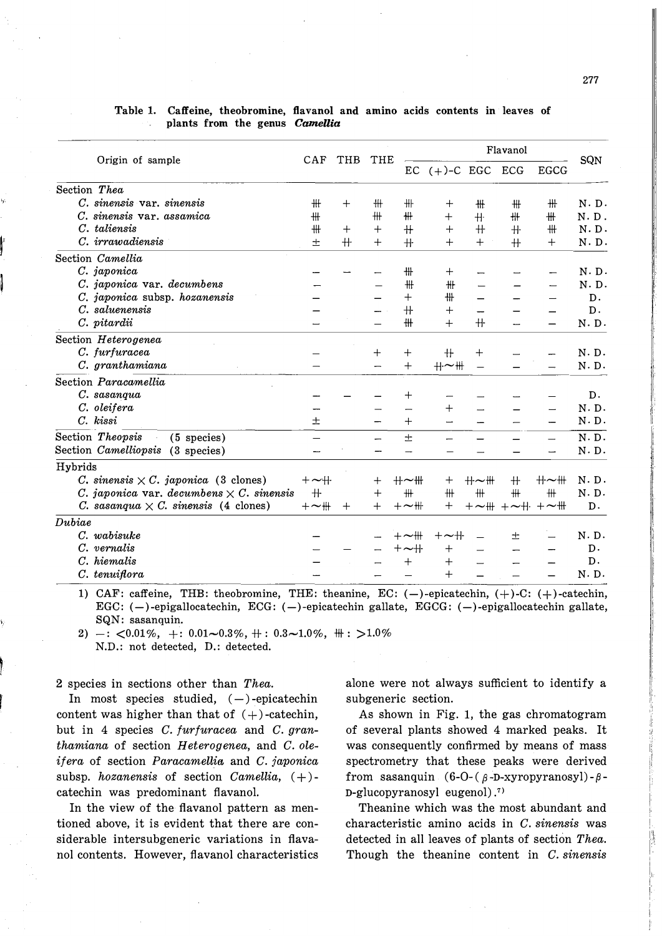|              | Origin of sample                                | CAF              | THB    | THE    | Flavanol<br>SQN  |                    |         |                                     |             |               |
|--------------|-------------------------------------------------|------------------|--------|--------|------------------|--------------------|---------|-------------------------------------|-------------|---------------|
|              |                                                 |                  |        |        |                  | $EC (+)-C EGC ECG$ |         |                                     | <b>EGCG</b> |               |
| Section Thea |                                                 |                  |        |        |                  |                    |         |                                     |             |               |
|              | C. sinensis var. sinensis                       | ₩                | $^{+}$ | ₩      | ╫                | $^{+}$             | ₩.      | ₩                                   | ╫           | $N \cdot D$ . |
|              | sinensis var. assamica                          | ₩                |        | #      | ₩                | $^{+}$             | $+$     | ₩                                   | ╫           | N.D.          |
|              | C. taliensis                                    | ₩                | $^{+}$ | $^{+}$ | $+$              | $^{+}$             | $+$     | $+$                                 | ₩           | N.D.          |
|              | C. irrawadiensis                                | 士                | $+$    | $^{+}$ | $+$              | $^{+}$             | $^{+}$  | $+$                                 | $^{+}$      | N.D.          |
|              | Section Camellia                                |                  |        |        |                  |                    |         |                                     |             |               |
|              | C. japonica                                     |                  |        |        | ₩                | $^{+}$             |         |                                     |             | N.D.          |
|              | C. japonica var. decumbens                      |                  |        |        | ₩                | ╫                  |         |                                     |             | N.D.          |
|              | C. japonica subsp. hozanensis                   |                  |        |        | $^{+}$           | ╫                  |         |                                     |             | D.            |
|              | C. saluenensis                                  |                  |        |        | $+$              | $^{+}$             |         |                                     |             | $D$ .         |
|              | C. pitardii                                     |                  |        |        | ₩                | $+$                | $+$     |                                     |             | N.D.          |
|              | Section Heterogenea                             |                  |        |        |                  |                    |         |                                     |             |               |
|              | C. furfuracea                                   |                  |        | $^{+}$ | $^{+}$           | ╫                  | $^{+}$  |                                     |             | N.D.          |
|              | C. granthamiana                                 |                  |        |        | $+$              | $H - H$            |         |                                     |             | N.D.          |
|              | Section Paracamellia                            |                  |        |        |                  |                    |         |                                     |             |               |
|              | C. sasanqua                                     |                  |        |        | $^{+}$           |                    |         |                                     |             | D.            |
|              | C. oleifera                                     |                  |        |        |                  | $^{+}$             |         |                                     |             | N.D.          |
|              | $C.$ $kissi$                                    | $^+$             |        |        | $^{+}$           |                    |         |                                     |             | $N \cdot D$ . |
|              | Section Theopsis<br>$(5$ species)               |                  |        |        | 士                |                    |         |                                     |             | N.D.          |
|              | Section Camelliopsis<br>$(3$ species)           |                  |        |        |                  |                    |         |                                     |             | N.D.          |
| Hybrids      |                                                 |                  |        |        |                  |                    |         |                                     |             |               |
|              | C. sinensis $\times$ C. japonica (3 clones)     | $+\sim$ $+\cdot$ |        | $^{+}$ | ╫∼₩              | $^{+}$             | $H - H$ | $+$                                 | ╫∼╫         | N.D.          |
|              | C. japonica var. decumbens $\times$ C. sinensis | $+$              |        | $^{+}$ | ₩                | #                  | #       | #                                   | #           | N. D.         |
|              | C. sasanqua $\times$ C. sinensis (4 clones)     | $+\sim$ #        | $^{+}$ | $^{+}$ | $+\sim$ ##       | $+$                |         | $+ \sim$ ## + $\sim$ #+ + $\sim$ ## |             | D.            |
| Dubic        |                                                 |                  |        |        |                  |                    |         |                                     |             |               |
|              | C. wabisuke                                     |                  |        |        | $+\sim$ ##       | $+\sim$ $+\cdot$   |         | 士                                   |             | N.D.          |
|              | C. vernalis                                     |                  |        |        | $+\sim$ $+\cdot$ | $\,+\,$            |         |                                     |             | D.            |
|              | C. hiemalis                                     |                  |        |        | $^{+}$           | $^{+}$             |         |                                     |             | D.            |
|              | C. tenuiflora                                   |                  |        |        |                  | $^{+}$             |         |                                     |             | N.D.          |

#### **Table 1. Caffeine, theobromine, flavanol and amino acids contents in leaves of plants from the genus** *Camellia*

1) CAF: caffeine, THB: theobromine, THE: theanine, EC:  $(-)$ -epicatechin,  $(+)$ -C:  $(+)$ -catechin, EGC:  $(-)$ -epigallocatechin, ECG:  $(-)$ -epicatechin gallate, EGCG:  $(-)$ -epigallocatechin gallate, SQN: sasanquin.

2)  $-$ :  $\langle 0.01\%, +$ :  $0.01\sim 0.3\%, +$ :  $0.3\sim 1.0\%, +$ :  $>1.0\%$ N.D.: not detected, D.: detected.

2 species in sections other than *Thea.* 

 $\int$ 

 $\frac{1}{4\sqrt{2}}$ 

In most species studied,  $(-)$ -epicatechin content was higher than that of  $(+)$ -catechin, but in 4 species *C. furfuracea* and *C. granthamiana* of section *Heterogenea,* and *C. oleif era* of section *ParacameUia* and *C. japonica*  subsp. *hozanensis* of section *Camellia*,  $(+)$ catechin was predominant flavanol.

In the view of the flavanol pattern as mentioned above, it is evident that there are considerable intersubgeneric variations in flavanol contents. However, flavanol characteristics alone were not always sufficient to identify a subgeneric section.

As shown in Fig. 1, the gas chromatogram of several plants showed 4 marked peaks. It was consequently confirmed by means of mass spectrometry that these peaks were derived from sasanquin (6-O-( $\beta$ -D-xyropyranosyl)- $\beta$ -D-glucopyranosyl eugenol) . **7** >

Theanine which was the most abundant and characteristic amino acids in *C. sinensis* was detected in all leaves of plants of section *Thea.*  Though the theanine content in *C. sinensis*   $\mathcal{L}$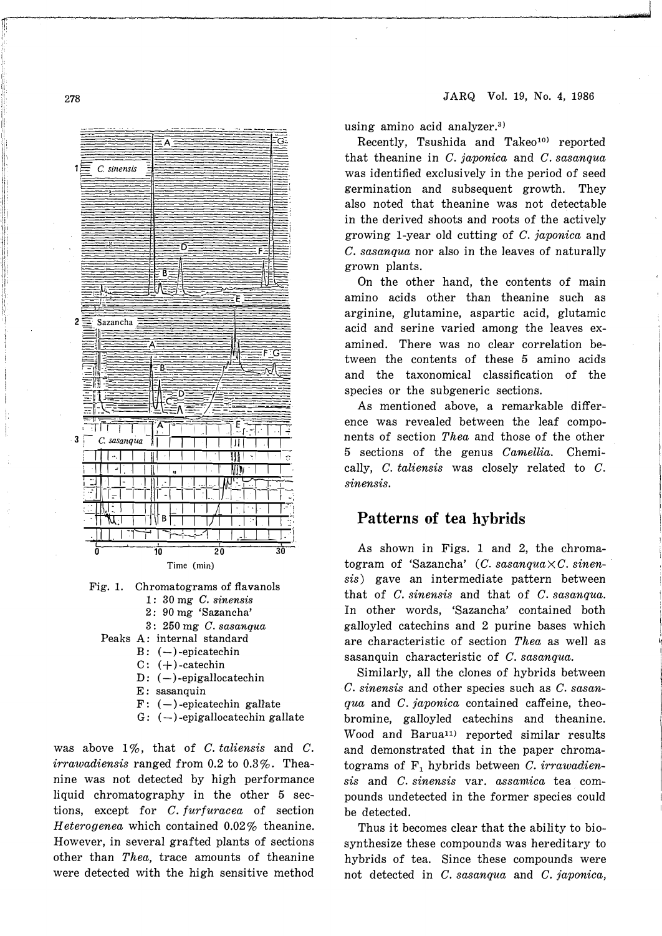



- 2: 90 mg 'Sazancha'
- $3:250$  mg  $C.$  sasangua
- Peaks A: internal standard
	- $B: (-)$ -epicatechin
	- $C: (+)$ -catechin
	- D:  $(-)$ -epigallocatechin
	- E: sasanquin
	- $F: (-)$ -epicatechin gallate
	- $G: (-)$ -epigallocatechin gallate

was above  $1\%$ , that of C. taliensis and C. *irrawadiensis* ranged from 0.2 to 0.3%. Theanine was not detected by high performance liquid chromatography in the other 5 sections, except for *C. furfuracea* of section Heterogenea which contained 0.02% theanine. However, in several grafted plants of sections other than Thea, trace amounts of theanine were detected with the high sensitive method using amino acid analyzer.<sup>3)</sup>

Recently, Tsushida and Takeo<sup>10)</sup> reported that theanine in C. japonica and C. sasanqua was identified exclusively in the period of seed germination and subsequent growth. They also noted that theanine was not detectable in the derived shoots and roots of the actively growing 1-year old cutting of  $C$ , japonica and C. sasangua nor also in the leaves of naturally grown plants.

On the other hand, the contents of main amino acids other than theanine such as arginine, glutamine, aspartic acid, glutamic acid and serine varied among the leaves examined. There was no clear correlation between the contents of these 5 amino acids and the taxonomical classification of the species or the subgeneric sections.

As mentioned above, a remarkable difference was revealed between the leaf components of section Thea and those of the other 5 sections of the genus Camellia. Chemically,  $C.$  taliensis was closely related to  $C.$ sinensis.

## Patterns of tea hybrids

As shown in Figs. 1 and 2, the chromatogram of 'Sazancha'  $(C. sasanqua \times C. sinen$ sis) gave an intermediate pattern between that of C. sinensis and that of C. sasanqua. In other words, 'Sazancha' contained both galloyled catechins and 2 purine bases which are characteristic of section Thea as well as sasanquin characteristic of C. sasanqua.

Similarly, all the clones of hybrids between C. sinensis and other species such as C. sasanqua and C. japonica contained caffeine, theobromine, galloyled catechins and theanine. Wood and Barua<sup>11)</sup> reported similar results and demonstrated that in the paper chromatograms of  $F_1$  hybrids between C. irrawadiensis and C. sinensis var. assamica tea compounds undetected in the former species could be detected.

Thus it becomes clear that the ability to biosynthesize these compounds was hereditary to hybrids of tea. Since these compounds were not detected in C. sasangua and C. japonica.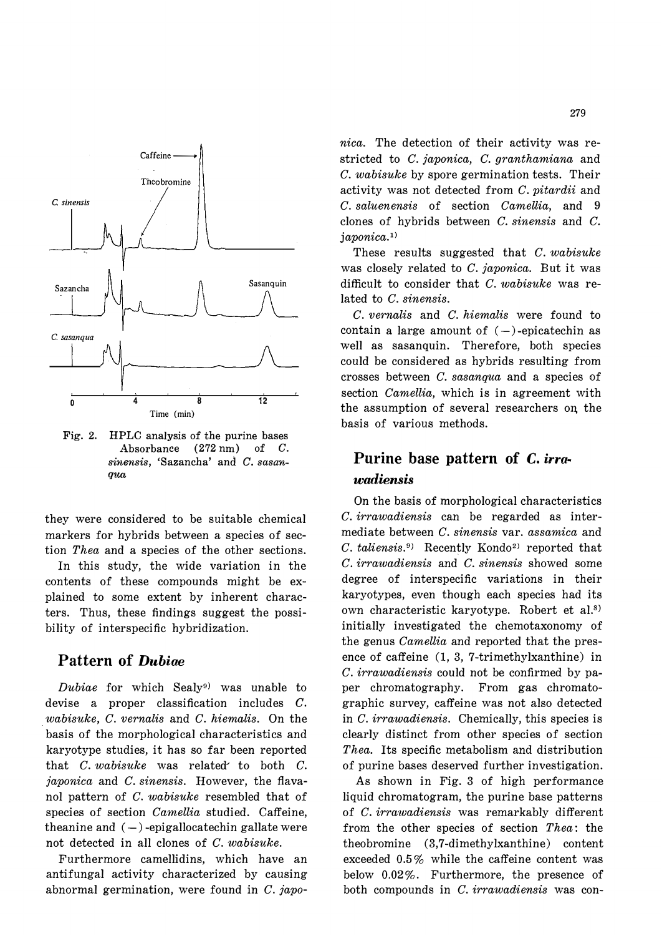

**Fig. 2. HPLC analysis of the purine bases Absorbance (272 nm) of** *C. sinensis,* **'Sazancha' and** *C. sasanqua* 

they were considered to be suitable chemical markers for hybrids between a species of section *Thea* and a species of the other sections. In this study, the wide variation in the contents of these compounds might be explained to some extent by inherent characters. Thus, these findings suggest the possibility of interspecific hybridization.

## **Pattern of** *Dubiae*

*Dubiae* for which Sealy**<sup>9</sup> )** was unable to devise a proper classification includes *C.* . *wabisuke, C. vernalis* and *C. hiemalis.* On the basis of the morphological characteristics and karyotype studies, it has so far been reported that *C. wabisuke* was related' to both *C. japonica* and *C. sinensis.* However, the flavanol pattern of *C. wabisuke* resembled that of species of section *Camellia* studied. Caffeine, theanine and  $(-)$ -epigallocatechin gallate were not detected in all clones of *C. wabisuke.* 

Furthermore camellidins, which have an antifungal activity characterized by causing abnormal germination, were found in *C. japo-* *nica.* The detection of their activity was restricted to *C. japonica, C. granthamiana* and *C. wabisuke* by spore germination tests. Their activity was not detected from *C. pitardii* and *C. saluenensis* of section *Camellia,* and 9 clones of hybrids between *C. sinensis* and *C. japonica.<sup>1</sup>* >

These results suggested that *C. wabisuke*  was closely related to *C. japonica.* But it was difficult to consider that *C. wabisuke* was related to *C. sinensis.* 

*C. vernalis* and *C. hiemalis* were found to contain a large amount of  $(-)$ -epicatechin as well as sasanquin. Therefore, both species could be considered as hybrids resulting from crosses between *C. sasanqua* and a species of section *Camellia,* which is in agreement with the assumption of several researchers on. the basis of various methods.

# **Purine base pattern of** *C. irrawadiensis*

On the basis of morphological characteristics *C. irrawadiensis* can be regarded as intermediate between *C. sinensis* var. *assamica* and C. taliensis.<sup>9</sup> Recently Kondo<sup>2)</sup> reported that *C. irrawadiensis* and *C. sinensis* showed some degree of interspecific variations in their karyotypes, even though each species had its own characteristic karyotype. Robert et al.<sup>8)</sup> initially investigated the chemotaxonomy of the genus *Camellia* and reported that the presence of caffeine (1, 3, 7-trimethylxanthine) in *C. irrawadiensis* could not be confirmed by paper chromatography. From gas chromatographic survey, caffeine was not also detected in *C. irrawadiensis.* Chemically, this species is clearly distinct from other species of section *Thea.* Its specific metabolism and distribution of purine bases deserved further investigation.

As shown in Fig. 3 of high performance liquid chromatogram, the purine base patterns of *C. irrawadiensis* was remarkably different from the other species of section *Thea:* the theobromine (3,7-dimethylxanthine) content exceeded 0.5 % while the caffeine content was below 0.02%. Furthermore, the presence of both compounds in *C. irrawadiensis* was con